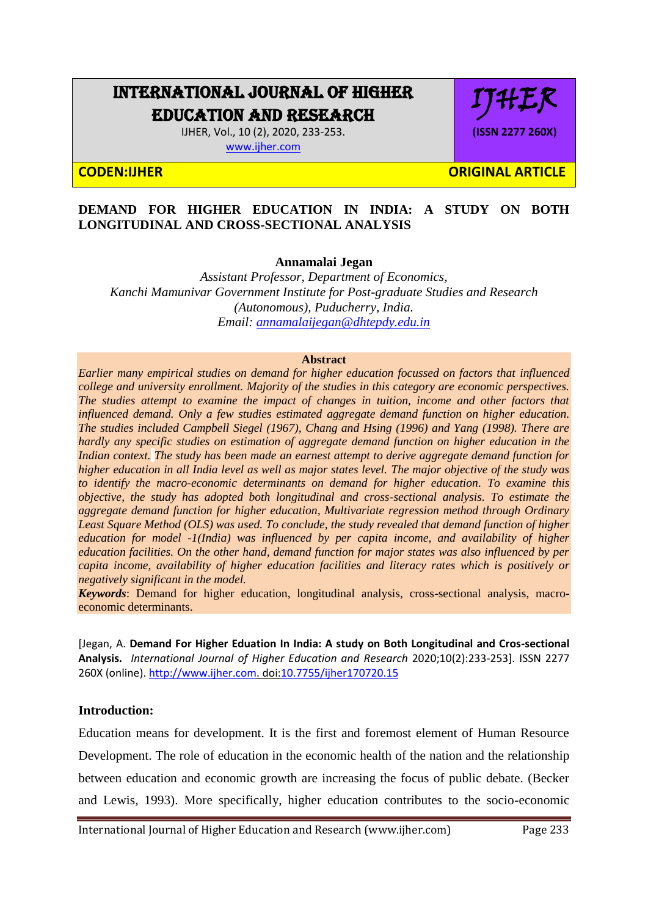# INTERNATIONAL JOURNAL OF HIGHER EDUCATION AND RESEARCH

IJHER, Vol., 10 (2), 2020, 233-253. [www.ijher.com](http://www.ijher.com/)

IJHER **(ISSN 2277 260X)**

**CODEN:IJHER ORIGINAL ARTICLE** 

#### **DEMAND FOR HIGHER EDUCATION IN INDIA: A STUDY ON BOTH LONGITUDINAL AND CROSS-SECTIONAL ANALYSIS**

**Annamalai Jegan**

*Assistant Professor, Department of Economics, Kanchi Mamunivar Government Institute for Post-graduate Studies and Research (Autonomous), Puducherry, India. Email: [annamalaijegan@dhtepdy.edu.in](mailto:annamalaijegan@dhtepdy.edu.in)*

#### **Abstract**

*Earlier many empirical studies on demand for higher education focussed on factors that influenced college and university enrollment. Majority of the studies in this category are economic perspectives. The studies attempt to examine the impact of changes in tuition, income and other factors that influenced demand. Only a few studies estimated aggregate demand function on higher education. The studies included Campbell Siegel (1967), Chang and Hsing (1996) and Yang (1998). There are hardly any specific studies on estimation of aggregate demand function on higher education in the Indian context. The study has been made an earnest attempt to derive aggregate demand function for higher education in all India level as well as major states level. The major objective of the study was to identify the macro-economic determinants on demand for higher education. To examine this objective, the study has adopted both longitudinal and cross-sectional analysis. To estimate the aggregate demand function for higher education, Multivariate regression method through Ordinary*  Least Square Method (OLS) was used. To conclude, the study revealed that demand function of higher *education for model -1(India) was influenced by per capita income, and availability of higher education facilities. On the other hand, demand function for major states was also influenced by per capita income, availability of higher education facilities and literacy rates which is positively or negatively significant in the model.*

*Keywords*: Demand for higher education, longitudinal analysis, cross-sectional analysis, macroeconomic determinants.

[Jegan, A. **Demand For Higher Eduation In India: A study on Both Longitudinal and Cros-sectional Analysis.** *International Journal of Higher Education and Research* 2020;10(2):233-253]. ISSN 2277 260X (online)[. http://www.ijher.com.](http://www.ijher.com/) doi[:10.7755/ijher170720.15](http://www.dx.doi.org/10.7537/marslsj170720.01)

#### **Introduction:**

Education means for development. It is the first and foremost element of Human Resource Development. The role of education in the economic health of the nation and the relationship between education and economic growth are increasing the focus of public debate. (Becker and Lewis, 1993). More specifically, higher education contributes to the socio-economic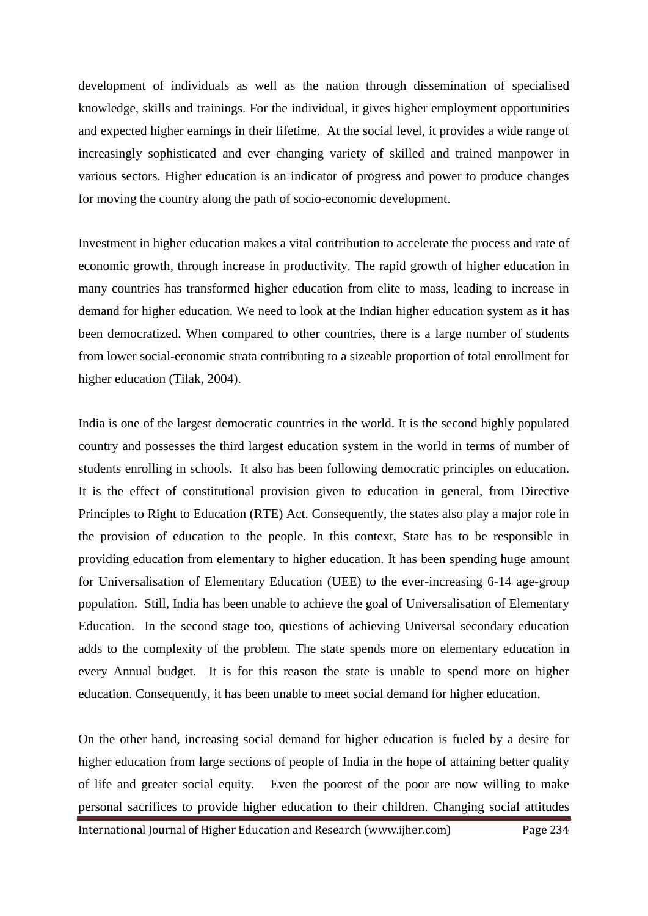development of individuals as well as the nation through dissemination of specialised knowledge, skills and trainings. For the individual, it gives higher employment opportunities and expected higher earnings in their lifetime. At the social level, it provides a wide range of increasingly sophisticated and ever changing variety of skilled and trained manpower in various sectors. Higher education is an indicator of progress and power to produce changes for moving the country along the path of socio-economic development.

Investment in higher education makes a vital contribution to accelerate the process and rate of economic growth, through increase in productivity. The rapid growth of higher education in many countries has transformed higher education from elite to mass, leading to increase in demand for higher education. We need to look at the Indian higher education system as it has been democratized. When compared to other countries, there is a large number of students from lower social-economic strata contributing to a sizeable proportion of total enrollment for higher education (Tilak, 2004).

India is one of the largest democratic countries in the world. It is the second highly populated country and possesses the third largest education system in the world in terms of number of students enrolling in schools. It also has been following democratic principles on education. It is the effect of constitutional provision given to education in general, from Directive Principles to Right to Education (RTE) Act. Consequently, the states also play a major role in the provision of education to the people. In this context, State has to be responsible in providing education from elementary to higher education. It has been spending huge amount for Universalisation of Elementary Education (UEE) to the ever-increasing 6-14 age-group population. Still, India has been unable to achieve the goal of Universalisation of Elementary Education. In the second stage too, questions of achieving Universal secondary education adds to the complexity of the problem. The state spends more on elementary education in every Annual budget. It is for this reason the state is unable to spend more on higher education. Consequently, it has been unable to meet social demand for higher education.

On the other hand, increasing social demand for higher education is fueled by a desire for higher education from large sections of people of India in the hope of attaining better quality of life and greater social equity. Even the poorest of the poor are now willing to make personal sacrifices to provide higher education to their children. Changing social attitudes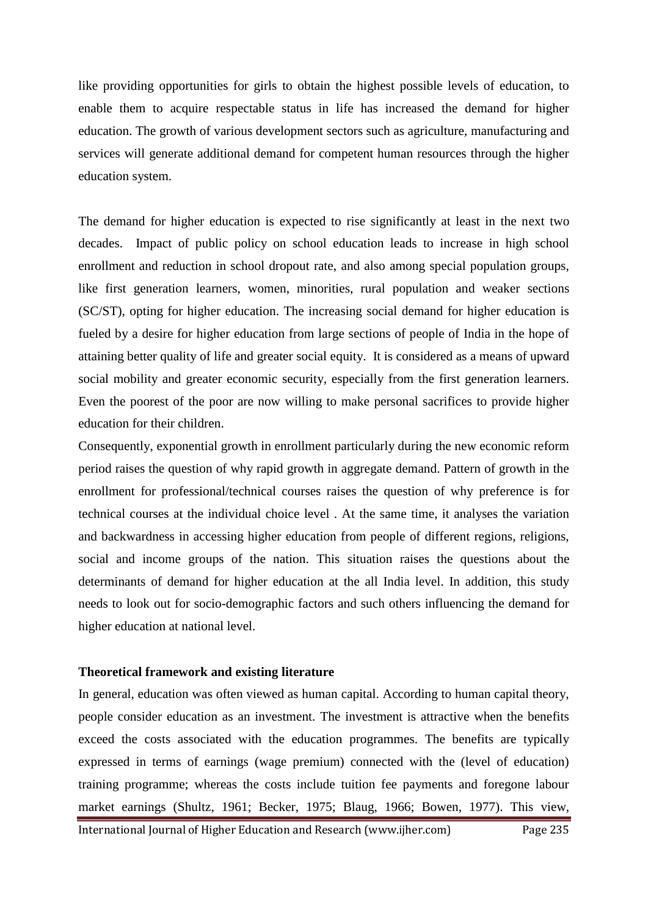like providing opportunities for girls to obtain the highest possible levels of education, to enable them to acquire respectable status in life has increased the demand for higher education. The growth of various development sectors such as agriculture, manufacturing and services will generate additional demand for competent human resources through the higher education system.

The demand for higher education is expected to rise significantly at least in the next two decades. Impact of public policy on school education leads to increase in high school enrollment and reduction in school dropout rate, and also among special population groups, like first generation learners, women, minorities, rural population and weaker sections (SC/ST), opting for higher education. The increasing social demand for higher education is fueled by a desire for higher education from large sections of people of India in the hope of attaining better quality of life and greater social equity. It is considered as a means of upward social mobility and greater economic security, especially from the first generation learners. Even the poorest of the poor are now willing to make personal sacrifices to provide higher education for their children.

Consequently, exponential growth in enrollment particularly during the new economic reform period raises the question of why rapid growth in aggregate demand. Pattern of growth in the enrollment for professional/technical courses raises the question of why preference is for technical courses at the individual choice level . At the same time, it analyses the variation and backwardness in accessing higher education from people of different regions, religions, social and income groups of the nation. This situation raises the questions about the determinants of demand for higher education at the all India level. In addition, this study needs to look out for socio-demographic factors and such others influencing the demand for higher education at national level.

#### **Theoretical framework and existing literature**

In general, education was often viewed as human capital. According to human capital theory, people consider education as an investment. The investment is attractive when the benefits exceed the costs associated with the education programmes. The benefits are typically expressed in terms of earnings (wage premium) connected with the (level of education) training programme; whereas the costs include tuition fee payments and foregone labour market earnings (Shultz, 1961; Becker, 1975; Blaug, 1966; Bowen, 1977). This view,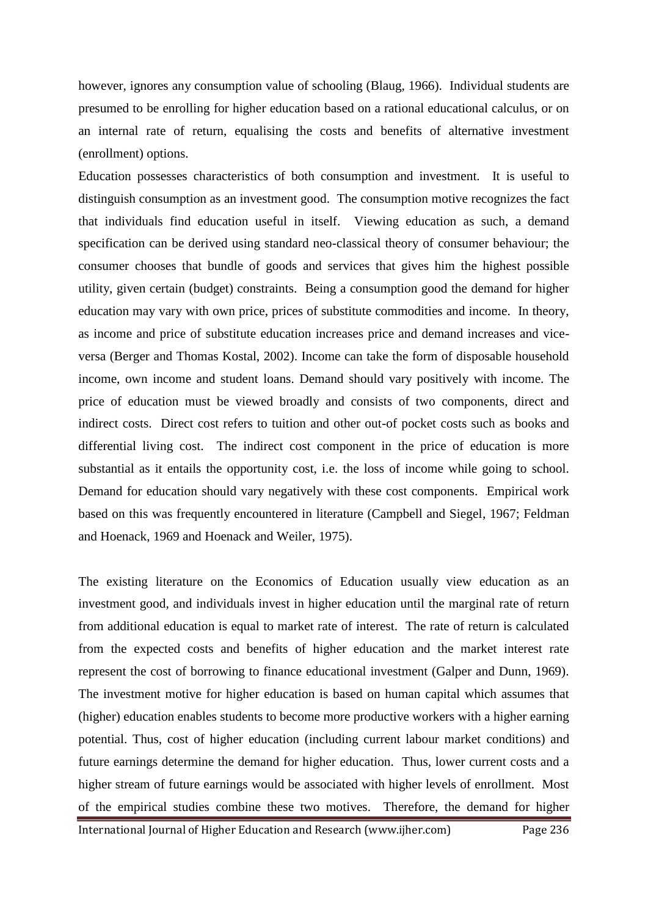however, ignores any consumption value of schooling (Blaug, 1966). Individual students are presumed to be enrolling for higher education based on a rational educational calculus, or on an internal rate of return, equalising the costs and benefits of alternative investment (enrollment) options.

Education possesses characteristics of both consumption and investment. It is useful to distinguish consumption as an investment good. The consumption motive recognizes the fact that individuals find education useful in itself. Viewing education as such, a demand specification can be derived using standard neo-classical theory of consumer behaviour; the consumer chooses that bundle of goods and services that gives him the highest possible utility, given certain (budget) constraints. Being a consumption good the demand for higher education may vary with own price, prices of substitute commodities and income. In theory, as income and price of substitute education increases price and demand increases and viceversa (Berger and Thomas Kostal, 2002). Income can take the form of disposable household income, own income and student loans. Demand should vary positively with income. The price of education must be viewed broadly and consists of two components, direct and indirect costs. Direct cost refers to tuition and other out-of pocket costs such as books and differential living cost. The indirect cost component in the price of education is more substantial as it entails the opportunity cost, i.e. the loss of income while going to school. Demand for education should vary negatively with these cost components. Empirical work based on this was frequently encountered in literature (Campbell and Siegel, 1967; Feldman and Hoenack, 1969 and Hoenack and Weiler, 1975).

The existing literature on the Economics of Education usually view education as an investment good, and individuals invest in higher education until the marginal rate of return from additional education is equal to market rate of interest. The rate of return is calculated from the expected costs and benefits of higher education and the market interest rate represent the cost of borrowing to finance educational investment (Galper and Dunn, 1969). The investment motive for higher education is based on human capital which assumes that (higher) education enables students to become more productive workers with a higher earning potential. Thus, cost of higher education (including current labour market conditions) and future earnings determine the demand for higher education. Thus, lower current costs and a higher stream of future earnings would be associated with higher levels of enrollment. Most of the empirical studies combine these two motives. Therefore, the demand for higher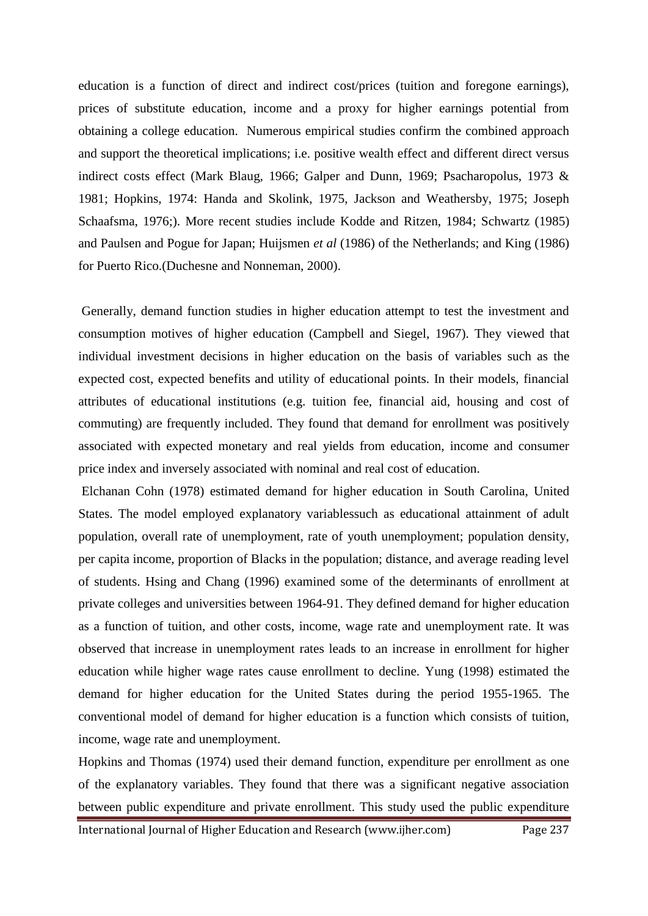education is a function of direct and indirect cost/prices (tuition and foregone earnings), prices of substitute education, income and a proxy for higher earnings potential from obtaining a college education. Numerous empirical studies confirm the combined approach and support the theoretical implications; i.e. positive wealth effect and different direct versus indirect costs effect (Mark Blaug, 1966; Galper and Dunn, 1969; Psacharopolus, 1973 & 1981; Hopkins, 1974: Handa and Skolink, 1975, Jackson and Weathersby, 1975; Joseph Schaafsma, 1976;). More recent studies include Kodde and Ritzen, 1984; Schwartz (1985) and Paulsen and Pogue for Japan; Huijsmen *et al* (1986) of the Netherlands; and King (1986) for Puerto Rico.(Duchesne and Nonneman, 2000).

Generally, demand function studies in higher education attempt to test the investment and consumption motives of higher education (Campbell and Siegel, 1967). They viewed that individual investment decisions in higher education on the basis of variables such as the expected cost, expected benefits and utility of educational points. In their models, financial attributes of educational institutions (e.g. tuition fee, financial aid, housing and cost of commuting) are frequently included. They found that demand for enrollment was positively associated with expected monetary and real yields from education, income and consumer price index and inversely associated with nominal and real cost of education.

Elchanan Cohn (1978) estimated demand for higher education in South Carolina, United States. The model employed explanatory variablessuch as educational attainment of adult population, overall rate of unemployment, rate of youth unemployment; population density, per capita income, proportion of Blacks in the population; distance, and average reading level of students. Hsing and Chang (1996) examined some of the determinants of enrollment at private colleges and universities between 1964-91. They defined demand for higher education as a function of tuition, and other costs, income, wage rate and unemployment rate. It was observed that increase in unemployment rates leads to an increase in enrollment for higher education while higher wage rates cause enrollment to decline. Yung (1998) estimated the demand for higher education for the United States during the period 1955-1965. The conventional model of demand for higher education is a function which consists of tuition, income, wage rate and unemployment.

Hopkins and Thomas (1974) used their demand function, expenditure per enrollment as one of the explanatory variables. They found that there was a significant negative association between public expenditure and private enrollment. This study used the public expenditure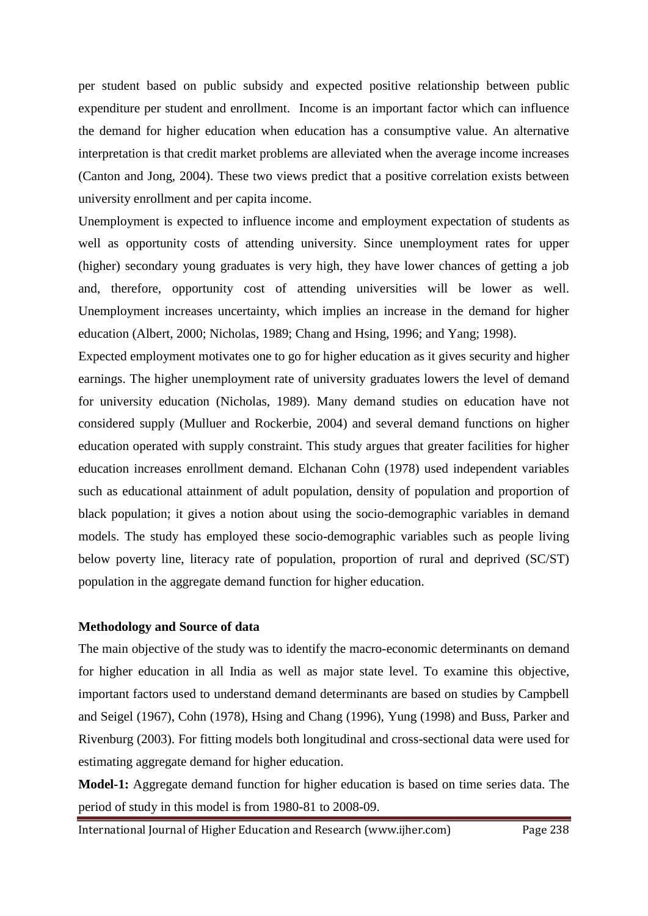per student based on public subsidy and expected positive relationship between public expenditure per student and enrollment. Income is an important factor which can influence the demand for higher education when education has a consumptive value. An alternative interpretation is that credit market problems are alleviated when the average income increases (Canton and Jong, 2004). These two views predict that a positive correlation exists between university enrollment and per capita income.

Unemployment is expected to influence income and employment expectation of students as well as opportunity costs of attending university. Since unemployment rates for upper (higher) secondary young graduates is very high, they have lower chances of getting a job and, therefore, opportunity cost of attending universities will be lower as well. Unemployment increases uncertainty, which implies an increase in the demand for higher education (Albert, 2000; Nicholas, 1989; Chang and Hsing, 1996; and Yang; 1998).

Expected employment motivates one to go for higher education as it gives security and higher earnings. The higher unemployment rate of university graduates lowers the level of demand for university education (Nicholas, 1989). Many demand studies on education have not considered supply (Mulluer and Rockerbie, 2004) and several demand functions on higher education operated with supply constraint. This study argues that greater facilities for higher education increases enrollment demand. Elchanan Cohn (1978) used independent variables such as educational attainment of adult population, density of population and proportion of black population; it gives a notion about using the socio-demographic variables in demand models. The study has employed these socio-demographic variables such as people living below poverty line, literacy rate of population, proportion of rural and deprived (SC/ST) population in the aggregate demand function for higher education.

#### **Methodology and Source of data**

The main objective of the study was to identify the macro-economic determinants on demand for higher education in all India as well as major state level. To examine this objective, important factors used to understand demand determinants are based on studies by Campbell and Seigel (1967), Cohn (1978), Hsing and Chang (1996), Yung (1998) and Buss, Parker and Rivenburg (2003). For fitting models both longitudinal and cross-sectional data were used for estimating aggregate demand for higher education.

**Model-1:** Aggregate demand function for higher education is based on time series data. The period of study in this model is from 1980-81 to 2008-09.

International Journal of Higher Education and Research (www.ijher.com) Page 238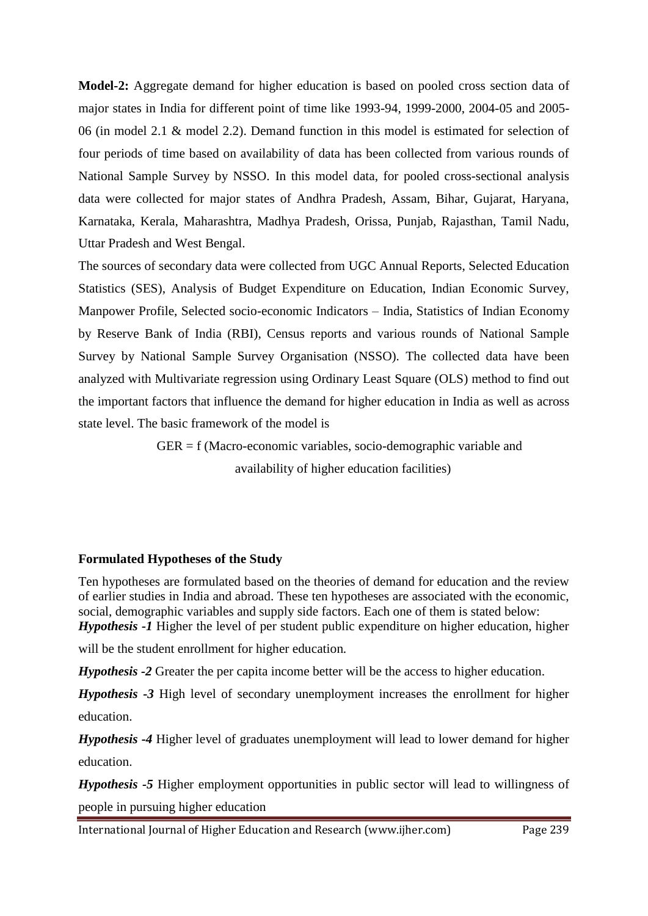**Model-2:** Aggregate demand for higher education is based on pooled cross section data of major states in India for different point of time like 1993-94, 1999-2000, 2004-05 and 2005- 06 (in model 2.1 & model 2.2). Demand function in this model is estimated for selection of four periods of time based on availability of data has been collected from various rounds of National Sample Survey by NSSO. In this model data, for pooled cross-sectional analysis data were collected for major states of Andhra Pradesh, Assam, Bihar, Gujarat, Haryana, Karnataka, Kerala, Maharashtra, Madhya Pradesh, Orissa, Punjab, Rajasthan, Tamil Nadu, Uttar Pradesh and West Bengal.

The sources of secondary data were collected from UGC Annual Reports, Selected Education Statistics (SES), Analysis of Budget Expenditure on Education, Indian Economic Survey, Manpower Profile, Selected socio-economic Indicators – India, Statistics of Indian Economy by Reserve Bank of India (RBI), Census reports and various rounds of National Sample Survey by National Sample Survey Organisation (NSSO). The collected data have been analyzed with Multivariate regression using Ordinary Least Square (OLS) method to find out the important factors that influence the demand for higher education in India as well as across state level. The basic framework of the model is

> GER = f (Macro-economic variables, socio-demographic variable and availability of higher education facilities)

#### **Formulated Hypotheses of the Study**

Ten hypotheses are formulated based on the theories of demand for education and the review of earlier studies in India and abroad. These ten hypotheses are associated with the economic, social, demographic variables and supply side factors. Each one of them is stated below: *Hypothesis -1* Higher the level of per student public expenditure on higher education, higher

will be the student enrollment for higher education*.* 

*Hypothesis -2* Greater the per capita income better will be the access to higher education.

*Hypothesis -3* High level of secondary unemployment increases the enrollment for higher education.

*Hypothesis -4* Higher level of graduates unemployment will lead to lower demand for higher education.

*Hypothesis -5* Higher employment opportunities in public sector will lead to willingness of people in pursuing higher education

International Journal of Higher Education and Research (www.ijher.com) Page 239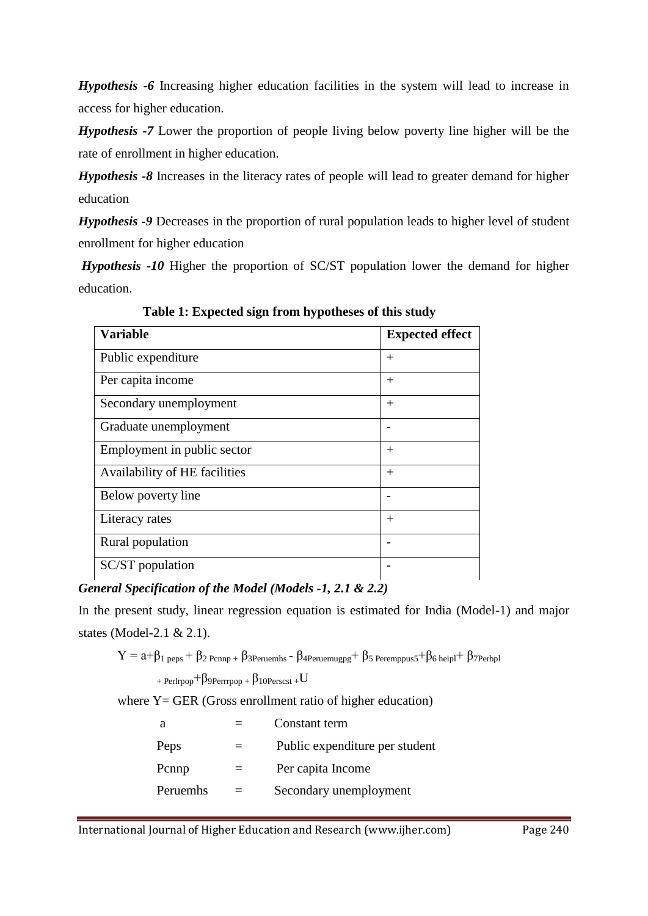*Hypothesis -6* Increasing higher education facilities in the system will lead to increase in access for higher education.

*Hypothesis -7* Lower the proportion of people living below poverty line higher will be the rate of enrollment in higher education.

*Hypothesis -8* Increases in the literacy rates of people will lead to greater demand for higher education

*Hypothesis -9* Decreases in the proportion of rural population leads to higher level of student enrollment for higher education

*Hypothesis -10* Higher the proportion of SC/ST population lower the demand for higher education.

| <b>Variable</b>               | <b>Expected effect</b>   |
|-------------------------------|--------------------------|
| Public expenditure            | $^{+}$                   |
| Per capita income             | $^{+}$                   |
| Secondary unemployment        | $^{+}$                   |
| Graduate unemployment         |                          |
| Employment in public sector   | $^{+}$                   |
| Availability of HE facilities | $^{+}$                   |
| Below poverty line            | $\overline{\phantom{0}}$ |
| Literacy rates                | $^{+}$                   |
| Rural population              | $\overline{\phantom{0}}$ |
| SC/ST population              |                          |

 **Table 1: Expected sign from hypotheses of this study**

# *General Specification of the Model (Models -1, 2.1 & 2.2)*

In the present study, linear regression equation is estimated for India (Model-1) and major states (Model-2.1 & 2.1).

 $Y = a+\beta_1$  peps +  $\beta_2$  Pcnnp +  $\beta_3$ Peruemhs -  $\beta_4$ Peruemugpg +  $\beta_5$  Peremppus5 +  $\beta_6$  heipl +  $\beta_7$ Perbpl

+ Perlrpop+ $\beta$ 9Perrrpop +  $\beta$ 10Perscst + U

where  $Y = GER$  (Gross enrollment ratio of higher education)

| а        |     | Constant term                  |
|----------|-----|--------------------------------|
| Peps     | $=$ | Public expenditure per student |
| Pcnnp    |     | Per capita Income              |
| Peruemhs |     | Secondary unemployment         |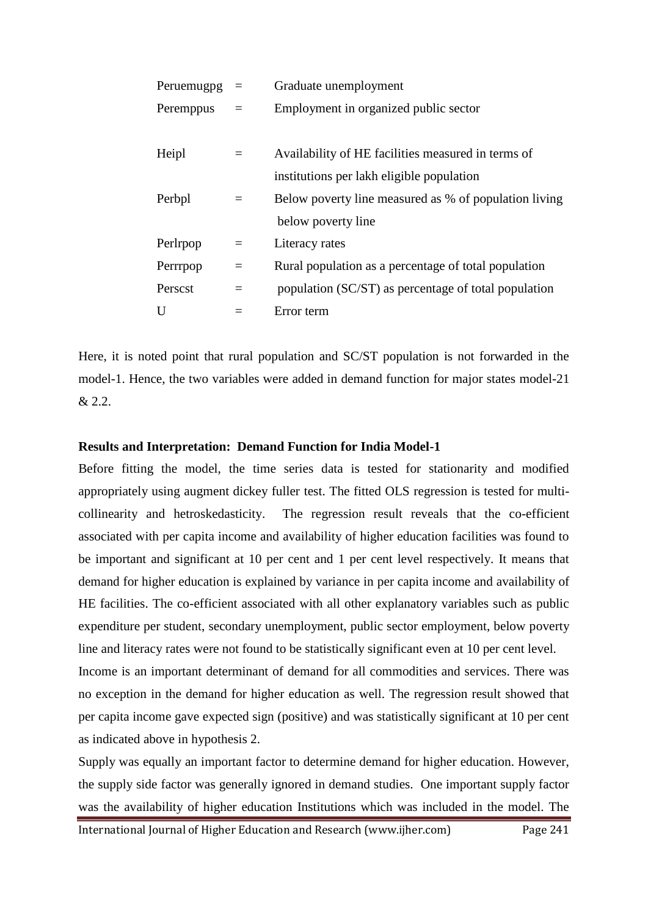| Peruemugpg |          | Graduate unemployment                                 |  |
|------------|----------|-------------------------------------------------------|--|
| Peremppus  | $\equiv$ | Employment in organized public sector                 |  |
|            |          |                                                       |  |
| Heipl      | $=$      | Availability of HE facilities measured in terms of    |  |
|            |          | institutions per lakh eligible population             |  |
| Perbpl     | $=$      | Below poverty line measured as % of population living |  |
|            |          | below poverty line                                    |  |
| Perlrpop   | $=$      | Literacy rates                                        |  |
| Perrrpop   | $=$      | Rural population as a percentage of total population  |  |
| Perscst    | $=$      | population (SC/ST) as percentage of total population  |  |
| U          |          | Error term                                            |  |

Here, it is noted point that rural population and SC/ST population is not forwarded in the model-1. Hence, the two variables were added in demand function for major states model-21 & 2.2.

### **Results and Interpretation: Demand Function for India Model-1**

Before fitting the model, the time series data is tested for stationarity and modified appropriately using augment dickey fuller test. The fitted OLS regression is tested for multicollinearity and hetroskedasticity. The regression result reveals that the co-efficient associated with per capita income and availability of higher education facilities was found to be important and significant at 10 per cent and 1 per cent level respectively. It means that demand for higher education is explained by variance in per capita income and availability of HE facilities. The co-efficient associated with all other explanatory variables such as public expenditure per student, secondary unemployment, public sector employment, below poverty line and literacy rates were not found to be statistically significant even at 10 per cent level.

Income is an important determinant of demand for all commodities and services. There was no exception in the demand for higher education as well. The regression result showed that per capita income gave expected sign (positive) and was statistically significant at 10 per cent as indicated above in hypothesis 2.

Supply was equally an important factor to determine demand for higher education. However, the supply side factor was generally ignored in demand studies. One important supply factor was the availability of higher education Institutions which was included in the model. The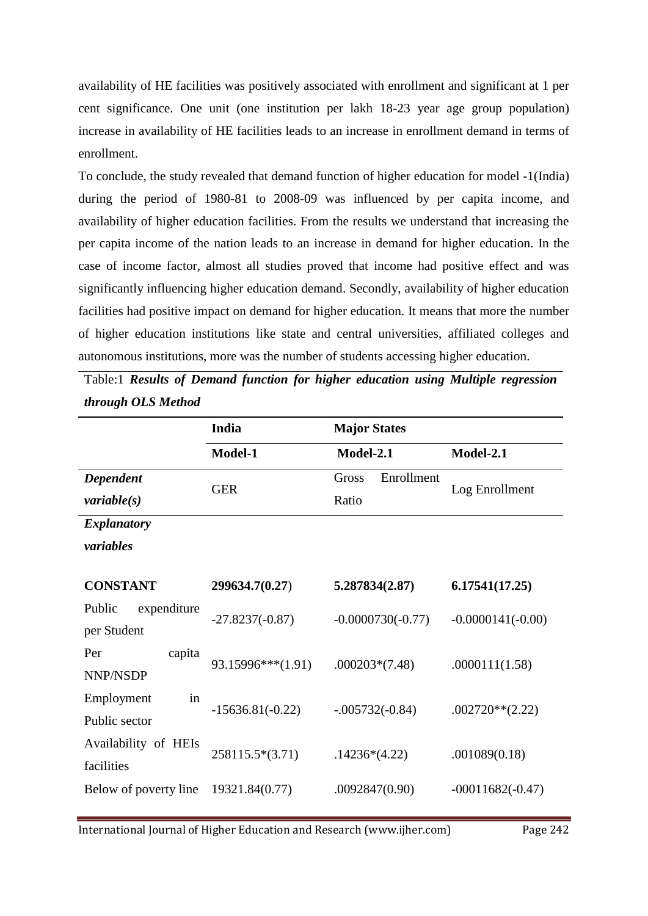availability of HE facilities was positively associated with enrollment and significant at 1 per cent significance. One unit (one institution per lakh 18-23 year age group population) increase in availability of HE facilities leads to an increase in enrollment demand in terms of enrollment.

To conclude, the study revealed that demand function of higher education for model -1(India) during the period of 1980-81 to 2008-09 was influenced by per capita income, and availability of higher education facilities. From the results we understand that increasing the per capita income of the nation leads to an increase in demand for higher education. In the case of income factor, almost all studies proved that income had positive effect and was significantly influencing higher education demand. Secondly, availability of higher education facilities had positive impact on demand for higher education. It means that more the number of higher education institutions like state and central universities, affiliated colleges and autonomous institutions, more was the number of students accessing higher education.

Table:1 *Results of Demand function for higher education using Multiple regression through OLS Method*

|                                                | India              | <b>Major States</b>          |                     |
|------------------------------------------------|--------------------|------------------------------|---------------------|
|                                                | Model-1            | Model-2.1                    | Model-2.1           |
| Dependent                                      | <b>GER</b>         | Enrollment<br>Gross<br>Ratio | Log Enrollment      |
| variable(s)<br><b>Explanatory</b><br>variables |                    |                              |                     |
| <b>CONSTANT</b>                                | 299634.7(0.27)     | 5.287834(2.87)               | 6.17541(17.25)      |
| Public<br>expenditure<br>per Student           | $-27.8237(-0.87)$  | $-0.0000730(-0.77)$          | $-0.0000141(-0.00)$ |
| Per<br>capita<br>NNP/NSDP                      | 93.15996***(1.91)  | $.000203*(7.48)$             | .0000111(1.58)      |
| in<br>Employment<br>Public sector              | $-15636.81(-0.22)$ | $-.005732(-0.84)$            | $.002720**$ (2.22)  |
| Availability of HEIs<br>facilities             | 258115.5*(3.71)    | $.14236*(4.22)$              | .001089(0.18)       |
| Below of poverty line                          | 19321.84(0.77)     | .0092847(0.90)               | $-00011682(-0.47)$  |

International Journal of Higher Education and Research (www.ijher.com) Page 242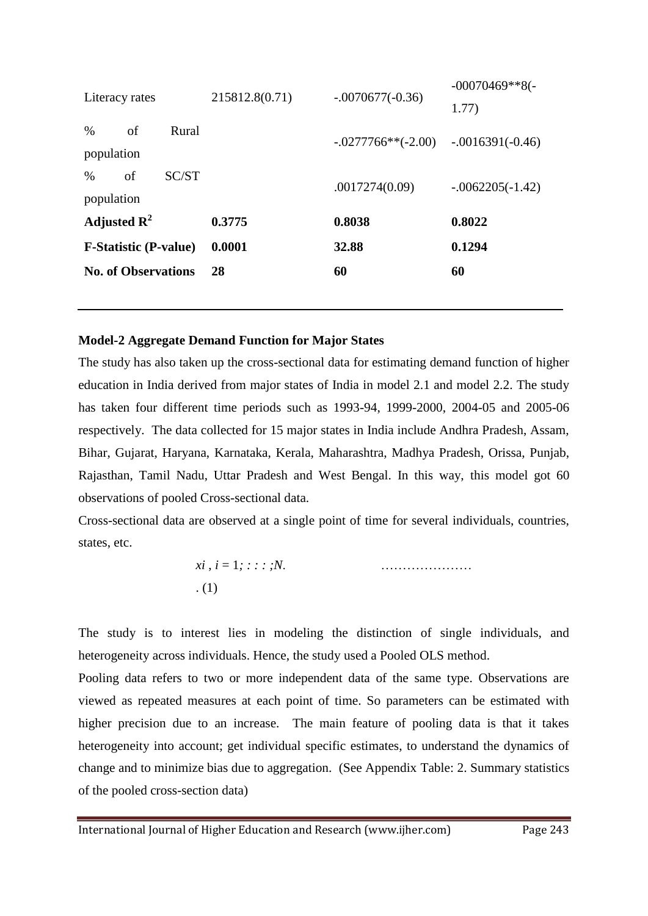|                              | <b>No. of Observations</b> |       | 28             | 60                   | 60                 |
|------------------------------|----------------------------|-------|----------------|----------------------|--------------------|
| <b>F-Statistic (P-value)</b> |                            |       | 0.0001         | 32.88                | 0.1294             |
|                              |                            |       |                |                      |                    |
| Adjusted $\mathbb{R}^2$      |                            |       | 0.3775         | 0.8038               | 0.8022             |
| population                   |                            |       |                |                      |                    |
| %                            | of                         | SC/ST |                | .0017274(0.09)       | $-.0062205(-1.42)$ |
| population                   |                            |       |                |                      |                    |
| $\%$                         | of                         | Rural |                | $-.0277766**(-2.00)$ | $-.0016391(-0.46)$ |
| Literacy rates               |                            |       | 215812.8(0.71) | $-.0070677(-0.36)$   | 1.77)              |
|                              |                            |       |                |                      | $-00070469**8(-$   |

#### **Model-2 Aggregate Demand Function for Major States**

The study has also taken up the cross-sectional data for estimating demand function of higher education in India derived from major states of India in model 2.1 and model 2.2. The study has taken four different time periods such as 1993-94, 1999-2000, 2004-05 and 2005-06 respectively. The data collected for 15 major states in India include Andhra Pradesh, Assam, Bihar, Gujarat, Haryana, Karnataka, Kerala, Maharashtra, Madhya Pradesh, Orissa, Punjab, Rajasthan, Tamil Nadu, Uttar Pradesh and West Bengal. In this way, this model got 60 observations of pooled Cross-sectional data.

Cross-sectional data are observed at a single point of time for several individuals, countries, states, etc.

$$
xi, i = 1; \dots; N.
$$
 (1)

The study is to interest lies in modeling the distinction of single individuals, and heterogeneity across individuals. Hence, the study used a Pooled OLS method.

Pooling data refers to two or more independent data of the same type. Observations are viewed as repeated measures at each point of time. So parameters can be estimated with higher precision due to an increase. The main feature of pooling data is that it takes heterogeneity into account; get individual specific estimates, to understand the dynamics of change and to minimize bias due to aggregation. (See Appendix Table: 2. Summary statistics of the pooled cross-section data)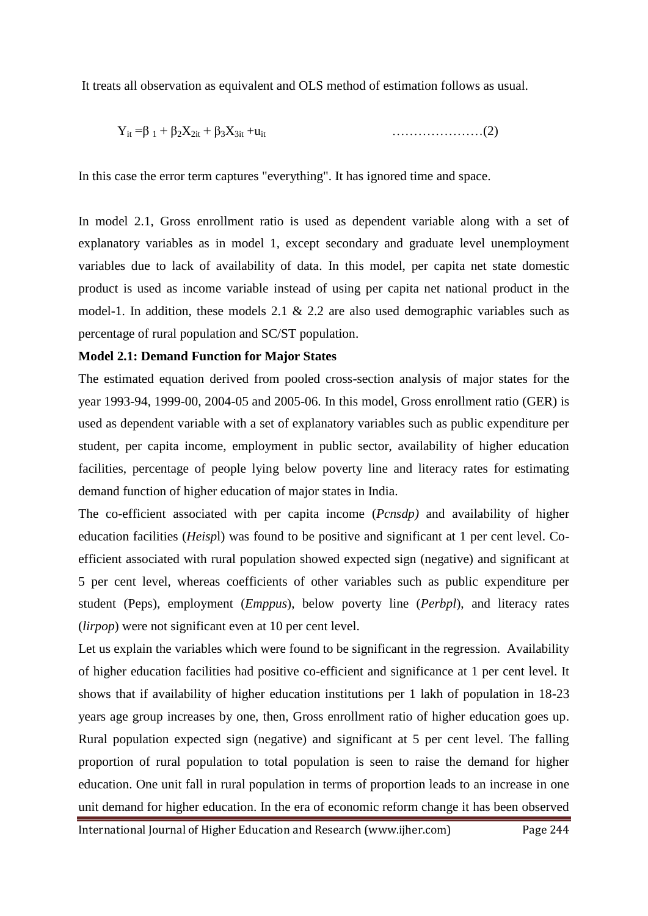It treats all observation as equivalent and OLS method of estimation follows as usual.

$$
Y_{it} = \beta_1 + \beta_2 X_{2it} + \beta_3 X_{3it} + u_{it}
$$
 (2)

In this case the error term captures "everything". It has ignored time and space.

In model 2.1, Gross enrollment ratio is used as dependent variable along with a set of explanatory variables as in model 1, except secondary and graduate level unemployment variables due to lack of availability of data. In this model, per capita net state domestic product is used as income variable instead of using per capita net national product in the model-1. In addition, these models 2.1  $& 2.2$  are also used demographic variables such as percentage of rural population and SC/ST population.

#### **Model 2.1: Demand Function for Major States**

The estimated equation derived from pooled cross-section analysis of major states for the year 1993-94, 1999-00, 2004-05 and 2005-06. In this model, Gross enrollment ratio (GER) is used as dependent variable with a set of explanatory variables such as public expenditure per student, per capita income, employment in public sector, availability of higher education facilities, percentage of people lying below poverty line and literacy rates for estimating demand function of higher education of major states in India.

The co-efficient associated with per capita income (*Pcnsdp)* and availability of higher education facilities (*Heisp*l) was found to be positive and significant at 1 per cent level. Coefficient associated with rural population showed expected sign (negative) and significant at 5 per cent level, whereas coefficients of other variables such as public expenditure per student (Peps), employment (*Emppus*), below poverty line (*Perbpl*), and literacy rates (*lirpop*) were not significant even at 10 per cent level.

Let us explain the variables which were found to be significant in the regression. Availability of higher education facilities had positive co-efficient and significance at 1 per cent level. It shows that if availability of higher education institutions per 1 lakh of population in 18-23 years age group increases by one, then, Gross enrollment ratio of higher education goes up. Rural population expected sign (negative) and significant at 5 per cent level. The falling proportion of rural population to total population is seen to raise the demand for higher education. One unit fall in rural population in terms of proportion leads to an increase in one unit demand for higher education. In the era of economic reform change it has been observed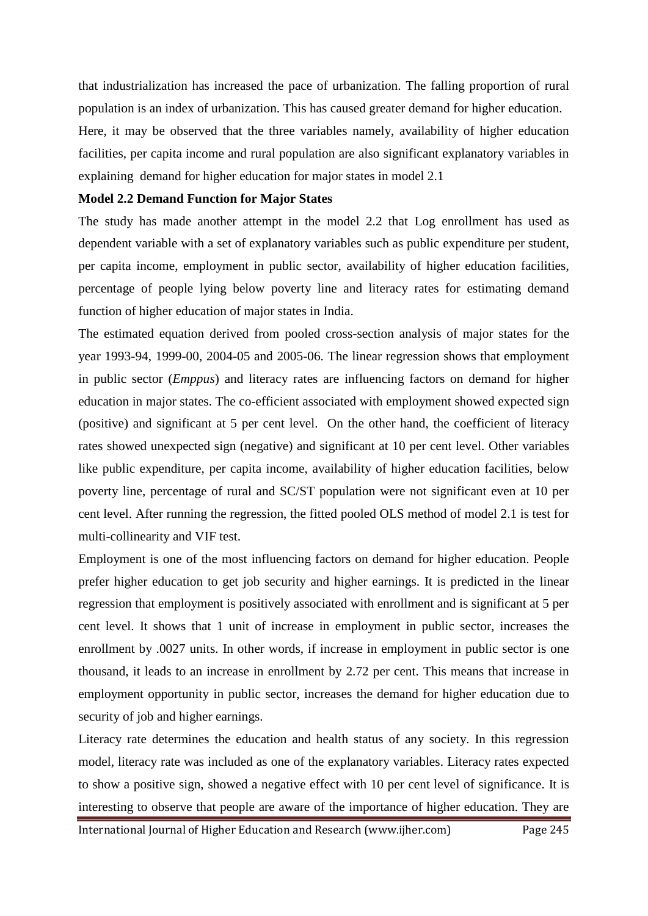that industrialization has increased the pace of urbanization. The falling proportion of rural population is an index of urbanization. This has caused greater demand for higher education.

Here, it may be observed that the three variables namely, availability of higher education facilities, per capita income and rural population are also significant explanatory variables in explaining demand for higher education for major states in model 2.1

#### **Model 2.2 Demand Function for Major States**

The study has made another attempt in the model 2.2 that Log enrollment has used as dependent variable with a set of explanatory variables such as public expenditure per student, per capita income, employment in public sector, availability of higher education facilities, percentage of people lying below poverty line and literacy rates for estimating demand function of higher education of major states in India.

The estimated equation derived from pooled cross-section analysis of major states for the year 1993-94, 1999-00, 2004-05 and 2005-06. The linear regression shows that employment in public sector (*Emppus*) and literacy rates are influencing factors on demand for higher education in major states. The co-efficient associated with employment showed expected sign (positive) and significant at 5 per cent level. On the other hand, the coefficient of literacy rates showed unexpected sign (negative) and significant at 10 per cent level. Other variables like public expenditure, per capita income, availability of higher education facilities, below poverty line, percentage of rural and SC/ST population were not significant even at 10 per cent level. After running the regression, the fitted pooled OLS method of model 2.1 is test for multi-collinearity and VIF test.

Employment is one of the most influencing factors on demand for higher education. People prefer higher education to get job security and higher earnings. It is predicted in the linear regression that employment is positively associated with enrollment and is significant at 5 per cent level. It shows that 1 unit of increase in employment in public sector, increases the enrollment by .0027 units. In other words, if increase in employment in public sector is one thousand, it leads to an increase in enrollment by 2.72 per cent. This means that increase in employment opportunity in public sector, increases the demand for higher education due to security of job and higher earnings.

Literacy rate determines the education and health status of any society. In this regression model, literacy rate was included as one of the explanatory variables. Literacy rates expected to show a positive sign, showed a negative effect with 10 per cent level of significance. It is interesting to observe that people are aware of the importance of higher education. They are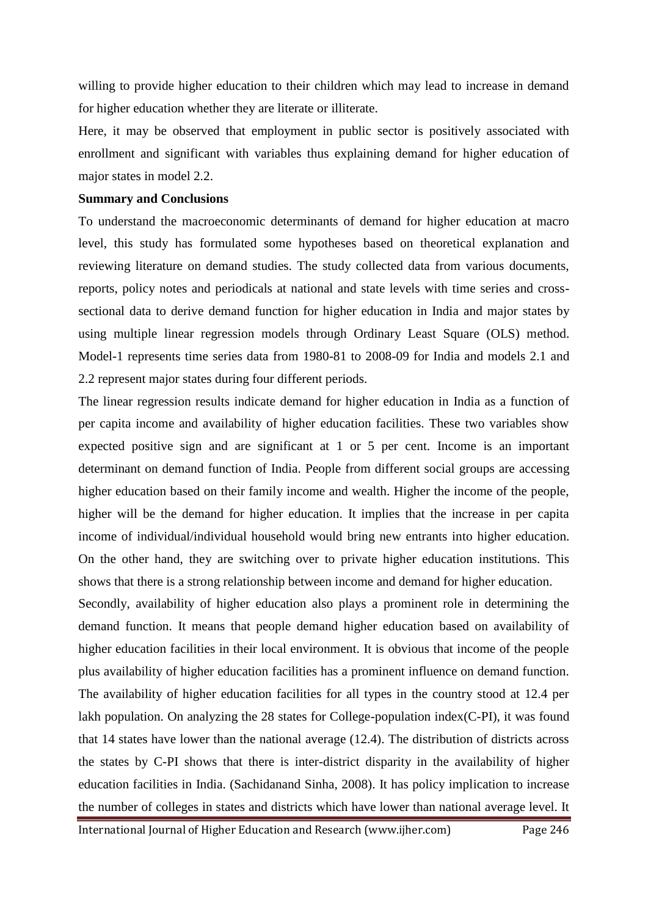willing to provide higher education to their children which may lead to increase in demand for higher education whether they are literate or illiterate.

Here, it may be observed that employment in public sector is positively associated with enrollment and significant with variables thus explaining demand for higher education of major states in model 2.2.

#### **Summary and Conclusions**

To understand the macroeconomic determinants of demand for higher education at macro level, this study has formulated some hypotheses based on theoretical explanation and reviewing literature on demand studies. The study collected data from various documents, reports, policy notes and periodicals at national and state levels with time series and crosssectional data to derive demand function for higher education in India and major states by using multiple linear regression models through Ordinary Least Square (OLS) method. Model-1 represents time series data from 1980-81 to 2008-09 for India and models 2.1 and 2.2 represent major states during four different periods.

The linear regression results indicate demand for higher education in India as a function of per capita income and availability of higher education facilities. These two variables show expected positive sign and are significant at 1 or 5 per cent. Income is an important determinant on demand function of India. People from different social groups are accessing higher education based on their family income and wealth. Higher the income of the people, higher will be the demand for higher education. It implies that the increase in per capita income of individual/individual household would bring new entrants into higher education. On the other hand, they are switching over to private higher education institutions. This shows that there is a strong relationship between income and demand for higher education.

Secondly, availability of higher education also plays a prominent role in determining the demand function. It means that people demand higher education based on availability of higher education facilities in their local environment. It is obvious that income of the people plus availability of higher education facilities has a prominent influence on demand function. The availability of higher education facilities for all types in the country stood at 12.4 per lakh population. On analyzing the 28 states for College-population index(C-PI), it was found that 14 states have lower than the national average (12.4). The distribution of districts across the states by C-PI shows that there is inter-district disparity in the availability of higher education facilities in India. (Sachidanand Sinha, 2008). It has policy implication to increase the number of colleges in states and districts which have lower than national average level. It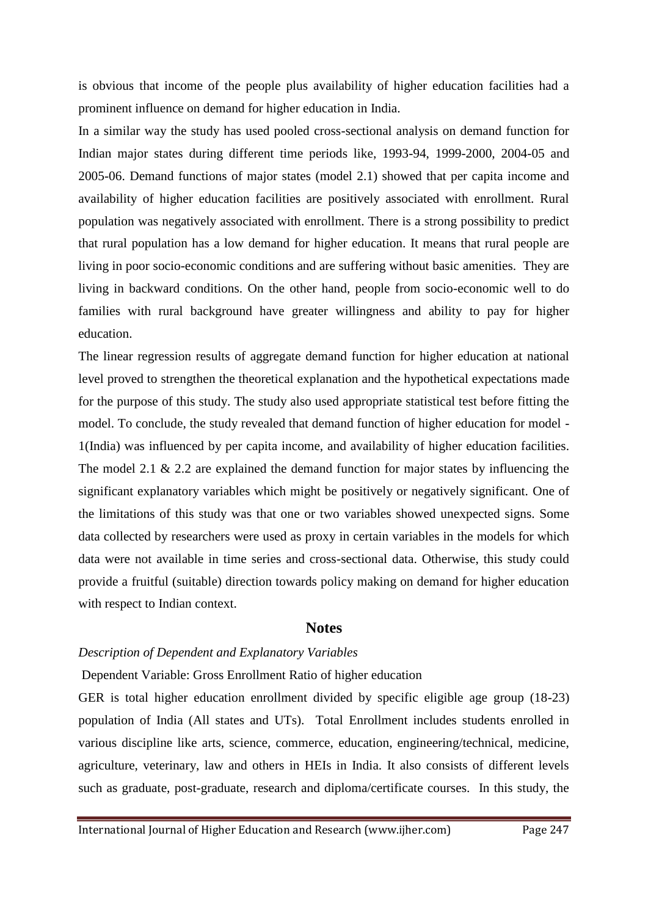is obvious that income of the people plus availability of higher education facilities had a prominent influence on demand for higher education in India.

In a similar way the study has used pooled cross-sectional analysis on demand function for Indian major states during different time periods like, 1993-94, 1999-2000, 2004-05 and 2005-06. Demand functions of major states (model 2.1) showed that per capita income and availability of higher education facilities are positively associated with enrollment. Rural population was negatively associated with enrollment. There is a strong possibility to predict that rural population has a low demand for higher education. It means that rural people are living in poor socio-economic conditions and are suffering without basic amenities. They are living in backward conditions. On the other hand, people from socio-economic well to do families with rural background have greater willingness and ability to pay for higher education.

The linear regression results of aggregate demand function for higher education at national level proved to strengthen the theoretical explanation and the hypothetical expectations made for the purpose of this study. The study also used appropriate statistical test before fitting the model. To conclude, the study revealed that demand function of higher education for model - 1(India) was influenced by per capita income, and availability of higher education facilities. The model 2.1 & 2.2 are explained the demand function for major states by influencing the significant explanatory variables which might be positively or negatively significant. One of the limitations of this study was that one or two variables showed unexpected signs. Some data collected by researchers were used as proxy in certain variables in the models for which data were not available in time series and cross-sectional data. Otherwise, this study could provide a fruitful (suitable) direction towards policy making on demand for higher education with respect to Indian context.

#### **Notes**

#### *Description of Dependent and Explanatory Variables*

Dependent Variable: Gross Enrollment Ratio of higher education

GER is total higher education enrollment divided by specific eligible age group (18-23) population of India (All states and UTs). Total Enrollment includes students enrolled in various discipline like arts, science, commerce, education, engineering/technical, medicine, agriculture, veterinary, law and others in HEIs in India. It also consists of different levels such as graduate, post-graduate, research and diploma/certificate courses. In this study, the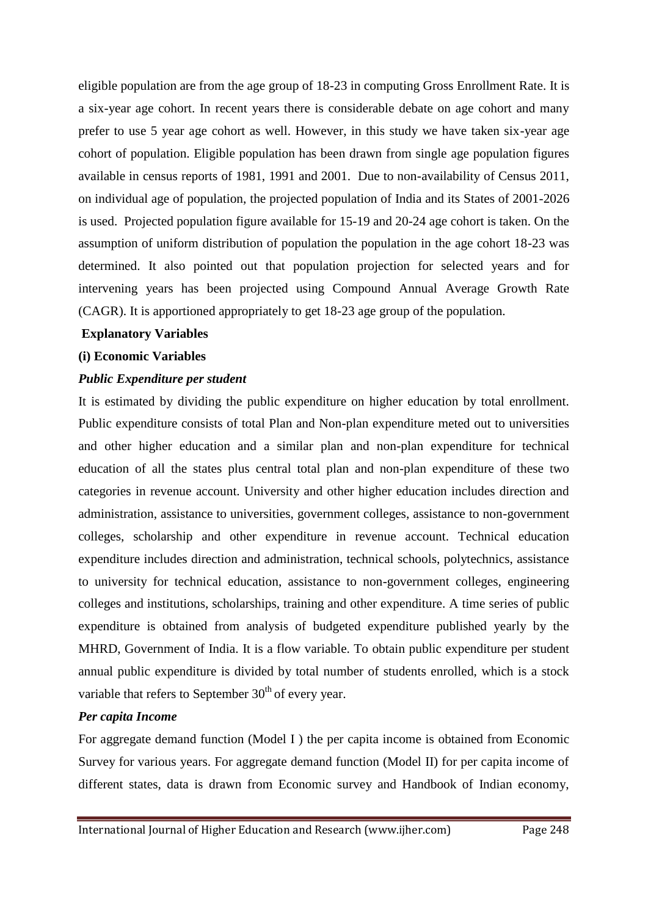eligible population are from the age group of 18-23 in computing Gross Enrollment Rate. It is a six-year age cohort. In recent years there is considerable debate on age cohort and many prefer to use 5 year age cohort as well. However, in this study we have taken six-year age cohort of population. Eligible population has been drawn from single age population figures available in census reports of 1981, 1991 and 2001. Due to non-availability of Census 2011, on individual age of population, the projected population of India and its States of 2001-2026 is used. Projected population figure available for 15-19 and 20-24 age cohort is taken. On the assumption of uniform distribution of population the population in the age cohort 18-23 was determined. It also pointed out that population projection for selected years and for intervening years has been projected using Compound Annual Average Growth Rate (CAGR). It is apportioned appropriately to get 18-23 age group of the population.

## **Explanatory Variables**

#### **(i) Economic Variables**

## *Public Expenditure per student*

It is estimated by dividing the public expenditure on higher education by total enrollment. Public expenditure consists of total Plan and Non-plan expenditure meted out to universities and other higher education and a similar plan and non-plan expenditure for technical education of all the states plus central total plan and non-plan expenditure of these two categories in revenue account. University and other higher education includes direction and administration, assistance to universities, government colleges, assistance to non-government colleges, scholarship and other expenditure in revenue account. Technical education expenditure includes direction and administration, technical schools, polytechnics, assistance to university for technical education, assistance to non-government colleges, engineering colleges and institutions, scholarships, training and other expenditure. A time series of public expenditure is obtained from analysis of budgeted expenditure published yearly by the MHRD, Government of India. It is a flow variable. To obtain public expenditure per student annual public expenditure is divided by total number of students enrolled, which is a stock variable that refers to September  $30<sup>th</sup>$  of every year.

# *Per capita Income*

For aggregate demand function (Model I ) the per capita income is obtained from Economic Survey for various years. For aggregate demand function (Model II) for per capita income of different states, data is drawn from Economic survey and Handbook of Indian economy,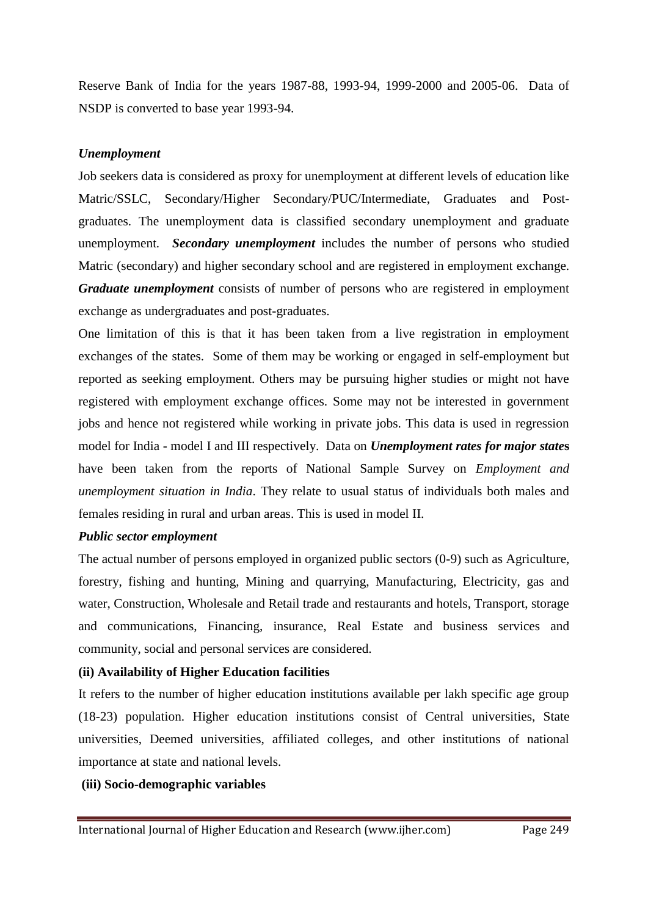Reserve Bank of India for the years 1987-88, 1993-94, 1999-2000 and 2005-06. Data of NSDP is converted to base year 1993-94.

## *Unemployment*

Job seekers data is considered as proxy for unemployment at different levels of education like Matric/SSLC, Secondary/Higher Secondary/PUC/Intermediate, Graduates and Postgraduates. The unemployment data is classified secondary unemployment and graduate unemployment*. Secondary unemployment* includes the number of persons who studied Matric (secondary) and higher secondary school and are registered in employment exchange. *Graduate unemployment* consists of number of persons who are registered in employment exchange as undergraduates and post-graduates.

One limitation of this is that it has been taken from a live registration in employment exchanges of the states. Some of them may be working or engaged in self-employment but reported as seeking employment. Others may be pursuing higher studies or might not have registered with employment exchange offices. Some may not be interested in government jobs and hence not registered while working in private jobs. This data is used in regression model for India - model I and III respectively. Data on *Unemployment rates for major state***s** have been taken from the reports of National Sample Survey on *Employment and unemployment situation in India*. They relate to usual status of individuals both males and females residing in rural and urban areas. This is used in model II.

# *Public sector employment*

The actual number of persons employed in organized public sectors (0-9) such as Agriculture, forestry, fishing and hunting, Mining and quarrying, Manufacturing, Electricity, gas and water, Construction, Wholesale and Retail trade and restaurants and hotels, Transport, storage and communications, Financing, insurance, Real Estate and business services and community, social and personal services are considered.

# **(ii) Availability of Higher Education facilities**

It refers to the number of higher education institutions available per lakh specific age group (18-23) population. Higher education institutions consist of Central universities, State universities, Deemed universities, affiliated colleges, and other institutions of national importance at state and national levels.

# **(iii) Socio-demographic variables**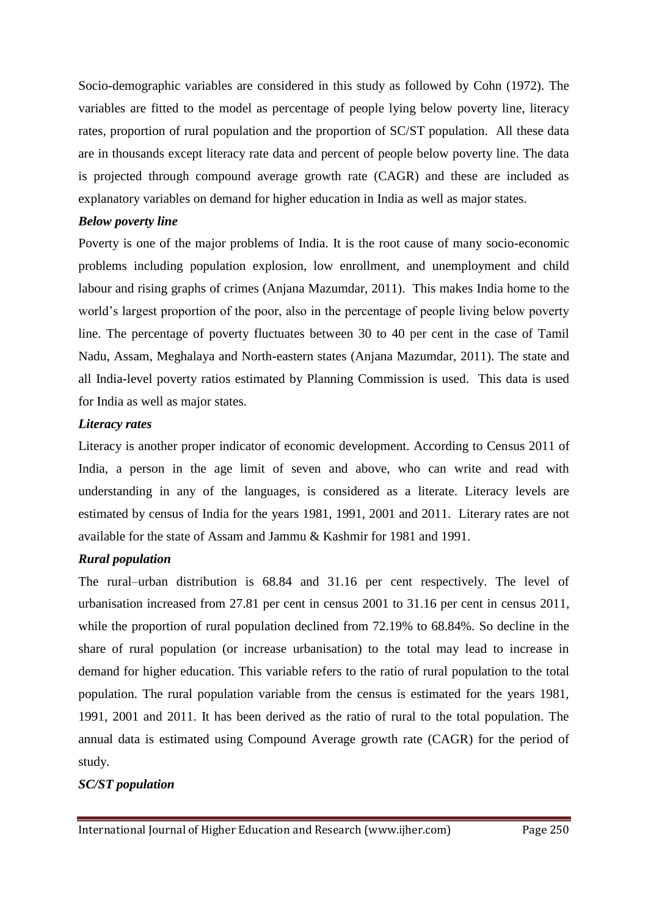Socio-demographic variables are considered in this study as followed by Cohn (1972). The variables are fitted to the model as percentage of people lying below poverty line, literacy rates, proportion of rural population and the proportion of SC/ST population. All these data are in thousands except literacy rate data and percent of people below poverty line. The data is projected through compound average growth rate (CAGR) and these are included as explanatory variables on demand for higher education in India as well as major states.

## *Below poverty line*

Poverty is one of the major problems of India. It is the root cause of many socio-economic problems including population explosion, low enrollment, and unemployment and child labour and rising graphs of crimes (Anjana Mazumdar, 2011). This makes India home to the world's largest proportion of the poor, also in the percentage of people living below poverty line. The percentage of poverty fluctuates between 30 to 40 per cent in the case of Tamil Nadu, Assam, Meghalaya and North-eastern states (Anjana Mazumdar, 2011). The state and all India-level poverty ratios estimated by Planning Commission is used. This data is used for India as well as major states.

## *Literacy rates*

Literacy is another proper indicator of economic development. According to Census 2011 of India, a person in the age limit of seven and above, who can write and read with understanding in any of the languages, is considered as a literate. Literacy levels are estimated by census of India for the years 1981, 1991, 2001 and 2011. Literary rates are not available for the state of Assam and Jammu & Kashmir for 1981 and 1991.

# *Rural population*

The rural–urban distribution is 68.84 and 31.16 per cent respectively. The level of urbanisation increased from 27.81 per cent in census 2001 to 31.16 per cent in census 2011, while the proportion of rural population declined from 72.19% to 68.84%. So decline in the share of rural population (or increase urbanisation) to the total may lead to increase in demand for higher education. This variable refers to the ratio of rural population to the total population. The rural population variable from the census is estimated for the years 1981, 1991, 2001 and 2011. It has been derived as the ratio of rural to the total population. The annual data is estimated using Compound Average growth rate (CAGR) for the period of study.

# *SC/ST population*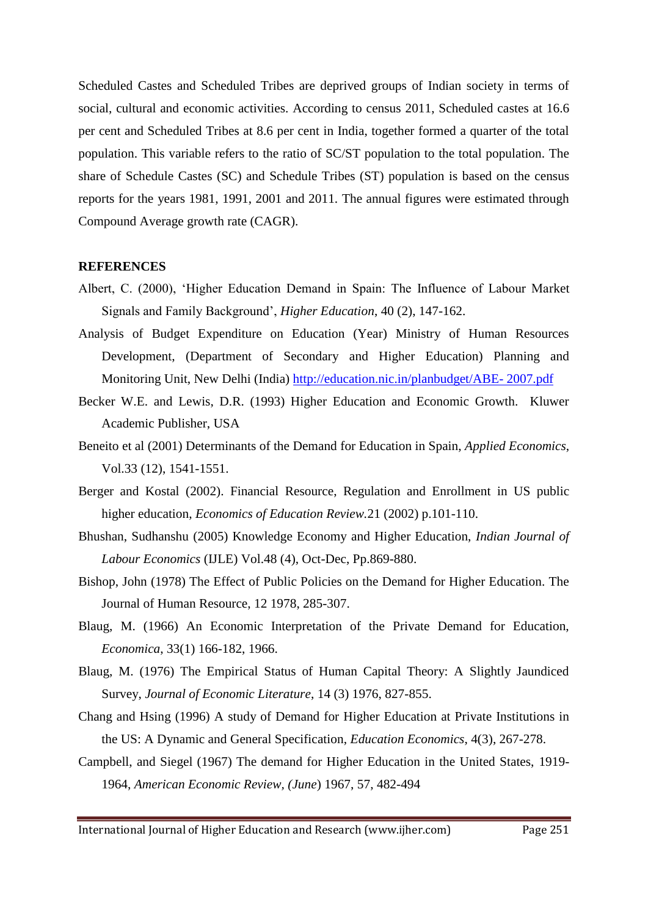Scheduled Castes and Scheduled Tribes are deprived groups of Indian society in terms of social, cultural and economic activities. According to census 2011, Scheduled castes at 16.6 per cent and Scheduled Tribes at 8.6 per cent in India, together formed a quarter of the total population. This variable refers to the ratio of SC/ST population to the total population. The share of Schedule Castes (SC) and Schedule Tribes (ST) population is based on the census reports for the years 1981, 1991, 2001 and 2011. The annual figures were estimated through Compound Average growth rate (CAGR).

#### **REFERENCES**

- Albert, C. (2000), 'Higher Education Demand in Spain: The Influence of Labour Market Signals and Family Background', *Higher Education*, 40 (2), 147-162.
- Analysis of Budget Expenditure on Education (Year) Ministry of Human Resources Development, (Department of Secondary and Higher Education) Planning and Monitoring Unit, New Delhi (India) [http://education.nic.in/planbudget/ABE-](http://education.nic.in/planbudget/ABE-%202007.pdf) 2007.pdf
- Becker W.E. and Lewis, D.R. (1993) Higher Education and Economic Growth. Kluwer Academic Publisher, USA
- Beneito et al (2001) Determinants of the Demand for Education in Spain, *Applied Economics*, Vol.33 (12), 1541-1551.
- Berger and Kostal (2002). Financial Resource, Regulation and Enrollment in US public higher education, *Economics of Education Review.*21 (2002) p.101-110.
- Bhushan, Sudhanshu (2005) Knowledge Economy and Higher Education, *Indian Journal of Labour Economics* (IJLE) Vol.48 (4), Oct-Dec, Pp.869-880.
- Bishop, John (1978) The Effect of Public Policies on the Demand for Higher Education. The Journal of Human Resource, 12 1978, 285-307.
- Blaug, M. (1966) An Economic Interpretation of the Private Demand for Education, *Economica*, 33(1) 166-182, 1966.
- Blaug, M. (1976) The Empirical Status of Human Capital Theory: A Slightly Jaundiced Survey, *Journal of Economic Literature*, 14 (3) 1976, 827-855.
- Chang and Hsing (1996) A study of Demand for Higher Education at Private Institutions in the US: A Dynamic and General Specification, *Education Economics*, 4(3), 267-278.
- Campbell, and Siegel (1967) The demand for Higher Education in the United States, 1919- 1964, *American Economic Review, (June*) 1967, 57, 482-494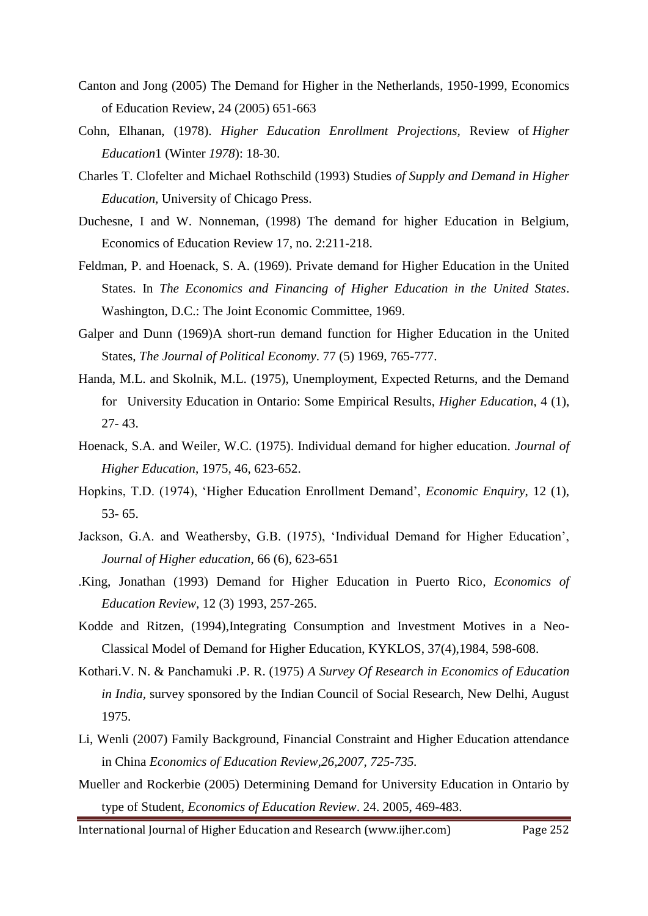- Canton and Jong (2005) The Demand for Higher in the Netherlands, 1950-1999, Economics of Education Review, 24 (2005) 651-663
- Cohn, Elhanan, (1978). *Higher Education Enrollment Projections,* Review of *Higher Education*1 (Winter *1978*): 18-30.
- Charles T. Clofelter and Michael Rothschild (1993) Studies *of Supply and Demand in Higher Education,* University of Chicago Press.
- Duchesne, I and W. Nonneman, (1998) The demand for higher Education in Belgium, Economics of Education Review 17, no. 2:211-218.
- Feldman, P. and Hoenack, S. A. (1969). Private demand for Higher Education in the United States. In *The Economics and Financing of Higher Education in the United States*. Washington, D.C.: The Joint Economic Committee, 1969.
- Galper and Dunn (1969)A short-run demand function for Higher Education in the United States, *The Journal of Political Economy*. 77 (5) 1969, 765-777.
- Handa, M.L. and Skolnik, M.L. (1975), Unemployment, Expected Returns, and the Demand for University Education in Ontario: Some Empirical Results, *Higher Education*, 4 (1), 27- 43.
- Hoenack, S.A. and Weiler, W.C. (1975). Individual demand for higher education. *Journal of Higher Education*, 1975, 46, 623-652.
- Hopkins, T.D. (1974), 'Higher Education Enrollment Demand', *Economic Enquiry*, 12 (1), 53- 65.
- Jackson, G.A. and Weathersby, G.B. (1975), 'Individual Demand for Higher Education', *Journal of Higher education*, 66 (6), 623-651
- .King, Jonathan (1993) Demand for Higher Education in Puerto Rico*, Economics of Education Review,* 12 (3) 1993, 257-265.
- Kodde and Ritzen, (1994),Integrating Consumption and Investment Motives in a Neo-Classical Model of Demand for Higher Education, KYKLOS, 37(4),1984, 598-608.
- Kothari.V. N. & Panchamuki .P. R. (1975) *A Survey Of Research in Economics of Education in India,* survey sponsored by the Indian Council of Social Research, New Delhi, August 1975.
- Li, Wenli (2007) Family Background, Financial Constraint and Higher Education attendance in China *Economics of Education Review,26,2007, 725-735.*
- Mueller and Rockerbie (2005) Determining Demand for University Education in Ontario by type of Student, *Economics of Education Review*. 24. 2005, 469-483.
- International Journal of Higher Education and Research (www.ijher.com) Page 252